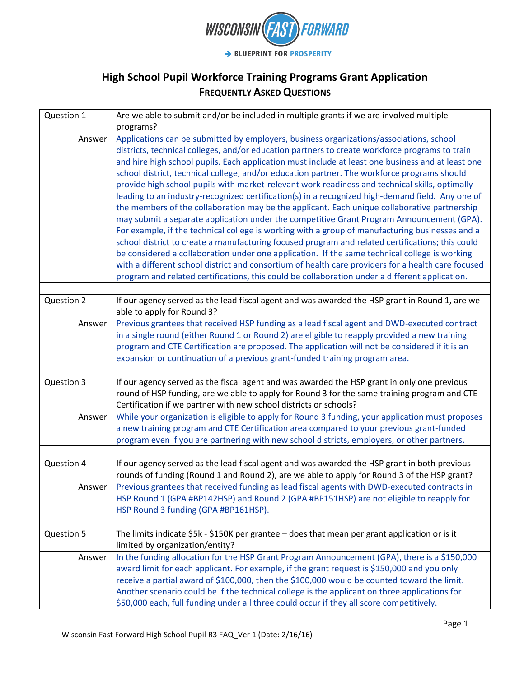

| Question 1 | Are we able to submit and/or be included in multiple grants if we are involved multiple            |
|------------|----------------------------------------------------------------------------------------------------|
|            | programs?                                                                                          |
| Answer     | Applications can be submitted by employers, business organizations/associations, school            |
|            | districts, technical colleges, and/or education partners to create workforce programs to train     |
|            | and hire high school pupils. Each application must include at least one business and at least one  |
|            | school district, technical college, and/or education partner. The workforce programs should        |
|            | provide high school pupils with market-relevant work readiness and technical skills, optimally     |
|            | leading to an industry-recognized certification(s) in a recognized high-demand field. Any one of   |
|            | the members of the collaboration may be the applicant. Each unique collaborative partnership       |
|            | may submit a separate application under the competitive Grant Program Announcement (GPA).          |
|            | For example, if the technical college is working with a group of manufacturing businesses and a    |
|            | school district to create a manufacturing focused program and related certifications; this could   |
|            | be considered a collaboration under one application. If the same technical college is working      |
|            | with a different school district and consortium of health care providers for a health care focused |
|            | program and related certifications, this could be collaboration under a different application.     |
|            |                                                                                                    |
| Question 2 | If our agency served as the lead fiscal agent and was awarded the HSP grant in Round 1, are we     |
|            | able to apply for Round 3?                                                                         |
| Answer     | Previous grantees that received HSP funding as a lead fiscal agent and DWD-executed contract       |
|            | in a single round (either Round 1 or Round 2) are eligible to reapply provided a new training      |
|            | program and CTE Certification are proposed. The application will not be considered if it is an     |
|            | expansion or continuation of a previous grant-funded training program area.                        |
| Question 3 | If our agency served as the fiscal agent and was awarded the HSP grant in only one previous        |
|            | round of HSP funding, are we able to apply for Round 3 for the same training program and CTE       |
|            | Certification if we partner with new school districts or schools?                                  |
| Answer     | While your organization is eligible to apply for Round 3 funding, your application must proposes   |
|            | a new training program and CTE Certification area compared to your previous grant-funded           |
|            | program even if you are partnering with new school districts, employers, or other partners.        |
|            |                                                                                                    |
| Question 4 | If our agency served as the lead fiscal agent and was awarded the HSP grant in both previous       |
|            | rounds of funding (Round 1 and Round 2), are we able to apply for Round 3 of the HSP grant?        |
| Answer     | Previous grantees that received funding as lead fiscal agents with DWD-executed contracts in       |
|            | HSP Round 1 (GPA #BP142HSP) and Round 2 (GPA #BP151HSP) are not eligible to reapply for            |
|            | HSP Round 3 funding (GPA #BP161HSP).                                                               |
|            |                                                                                                    |
| Question 5 | The limits indicate \$5k - \$150K per grantee - does that mean per grant application or is it      |
|            | limited by organization/entity?                                                                    |
| Answer     | In the funding allocation for the HSP Grant Program Announcement (GPA), there is a \$150,000       |
|            | award limit for each applicant. For example, if the grant request is \$150,000 and you only        |
|            | receive a partial award of \$100,000, then the \$100,000 would be counted toward the limit.        |
|            | Another scenario could be if the technical college is the applicant on three applications for      |
|            | \$50,000 each, full funding under all three could occur if they all score competitively.           |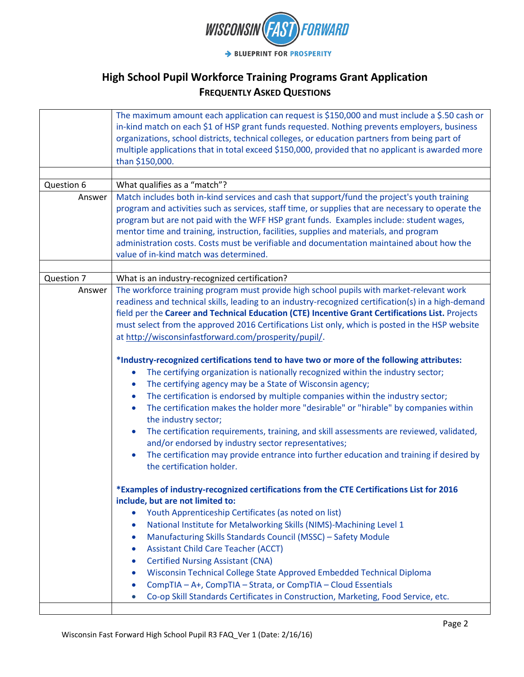

|            | The maximum amount each application can request is \$150,000 and must include a \$.50 cash or<br>in-kind match on each \$1 of HSP grant funds requested. Nothing prevents employers, business<br>organizations, school districts, technical colleges, or education partners from being part of                                                                                                                                                                                                                                                                                                                                                                                                                             |
|------------|----------------------------------------------------------------------------------------------------------------------------------------------------------------------------------------------------------------------------------------------------------------------------------------------------------------------------------------------------------------------------------------------------------------------------------------------------------------------------------------------------------------------------------------------------------------------------------------------------------------------------------------------------------------------------------------------------------------------------|
|            | multiple applications that in total exceed \$150,000, provided that no applicant is awarded more<br>than \$150,000.                                                                                                                                                                                                                                                                                                                                                                                                                                                                                                                                                                                                        |
|            |                                                                                                                                                                                                                                                                                                                                                                                                                                                                                                                                                                                                                                                                                                                            |
| Question 6 | What qualifies as a "match"?                                                                                                                                                                                                                                                                                                                                                                                                                                                                                                                                                                                                                                                                                               |
| Answer     | Match includes both in-kind services and cash that support/fund the project's youth training<br>program and activities such as services, staff time, or supplies that are necessary to operate the<br>program but are not paid with the WFF HSP grant funds. Examples include: student wages,<br>mentor time and training, instruction, facilities, supplies and materials, and program<br>administration costs. Costs must be verifiable and documentation maintained about how the<br>value of in-kind match was determined.                                                                                                                                                                                             |
| Question 7 | What is an industry-recognized certification?                                                                                                                                                                                                                                                                                                                                                                                                                                                                                                                                                                                                                                                                              |
| Answer     | The workforce training program must provide high school pupils with market-relevant work<br>readiness and technical skills, leading to an industry-recognized certification(s) in a high-demand<br>field per the Career and Technical Education (CTE) Incentive Grant Certifications List. Projects<br>must select from the approved 2016 Certifications List only, which is posted in the HSP website<br>at http://wisconsinfastforward.com/prosperity/pupil/.<br>*Industry-recognized certifications tend to have two or more of the following attributes:<br>The certifying organization is nationally recognized within the industry sector;<br>The certifying agency may be a State of Wisconsin agency;<br>$\bullet$ |
|            | The certification is endorsed by multiple companies within the industry sector;<br>$\bullet$<br>The certification makes the holder more "desirable" or "hirable" by companies within<br>$\bullet$<br>the industry sector;<br>The certification requirements, training, and skill assessments are reviewed, validated,<br>$\bullet$<br>and/or endorsed by industry sector representatives;<br>The certification may provide entrance into further education and training if desired by<br>$\bullet$<br>the certification holder.                                                                                                                                                                                            |
|            | *Examples of industry-recognized certifications from the CTE Certifications List for 2016<br>include, but are not limited to:<br>Youth Apprenticeship Certificates (as noted on list)<br>National Institute for Metalworking Skills (NIMS)-Machining Level 1<br>$\bullet$<br>Manufacturing Skills Standards Council (MSSC) - Safety Module<br>$\bullet$<br><b>Assistant Child Care Teacher (ACCT)</b><br>$\bullet$<br><b>Certified Nursing Assistant (CNA)</b><br>$\bullet$<br>Wisconsin Technical College State Approved Embedded Technical Diploma<br>$\bullet$<br>CompTIA - A+, CompTIA - Strata, or CompTIA - Cloud Essentials<br>Co-op Skill Standards Certificates in Construction, Marketing, Food Service, etc.    |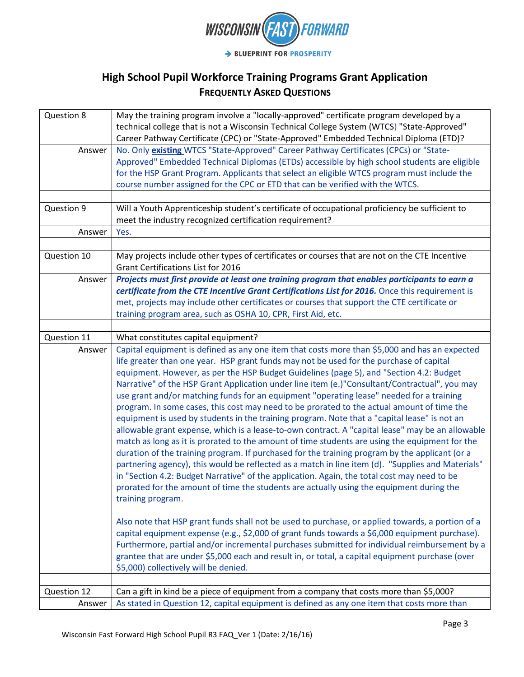

| Question 8  | May the training program involve a "locally-approved" certificate program developed by a                                            |
|-------------|-------------------------------------------------------------------------------------------------------------------------------------|
|             | technical college that is not a Wisconsin Technical College System (WTCS) "State-Approved"                                          |
|             | Career Pathway Certificate (CPC) or "State-Approved" Embedded Technical Diploma (ETD)?                                              |
| Answer      | No. Only existing WTCS "State-Approved" Career Pathway Certificates (CPCs) or "State-                                               |
|             | Approved" Embedded Technical Diplomas (ETDs) accessible by high school students are eligible                                        |
|             | for the HSP Grant Program. Applicants that select an eligible WTCS program must include the                                         |
|             | course number assigned for the CPC or ETD that can be verified with the WTCS.                                                       |
|             |                                                                                                                                     |
| Question 9  | Will a Youth Apprenticeship student's certificate of occupational proficiency be sufficient to                                      |
|             | meet the industry recognized certification requirement?                                                                             |
| Answer      | Yes.                                                                                                                                |
|             |                                                                                                                                     |
| Question 10 | May projects include other types of certificates or courses that are not on the CTE Incentive<br>Grant Certifications List for 2016 |
| Answer      | Projects must first provide at least one training program that enables participants to earn a                                       |
|             | certificate from the CTE Incentive Grant Certifications List for 2016. Once this requirement is                                     |
|             | met, projects may include other certificates or courses that support the CTE certificate or                                         |
|             | training program area, such as OSHA 10, CPR, First Aid, etc.                                                                        |
|             |                                                                                                                                     |
| Question 11 | What constitutes capital equipment?                                                                                                 |
| Answer      | Capital equipment is defined as any one item that costs more than \$5,000 and has an expected                                       |
|             | life greater than one year. HSP grant funds may not be used for the purchase of capital                                             |
|             | equipment. However, as per the HSP Budget Guidelines (page 5), and "Section 4.2: Budget                                             |
|             | Narrative" of the HSP Grant Application under line item (e.)"Consultant/Contractual", you may                                       |
|             | use grant and/or matching funds for an equipment "operating lease" needed for a training                                            |
|             | program. In some cases, this cost may need to be prorated to the actual amount of time the                                          |
|             | equipment is used by students in the training program. Note that a "capital lease" is not an                                        |
|             | allowable grant expense, which is a lease-to-own contract. A "capital lease" may be an allowable                                    |
|             | match as long as it is prorated to the amount of time students are using the equipment for the                                      |
|             | duration of the training program. If purchased for the training program by the applicant (or a                                      |
|             | partnering agency), this would be reflected as a match in line item (d). "Supplies and Materials"                                   |
|             | in "Section 4.2: Budget Narrative" of the application. Again, the total cost may need to be                                         |
|             | prorated for the amount of time the students are actually using the equipment during the                                            |
|             | training program.                                                                                                                   |
|             | Also note that HSP grant funds shall not be used to purchase, or applied towards, a portion of a                                    |
|             | capital equipment expense (e.g., \$2,000 of grant funds towards a \$6,000 equipment purchase).                                      |
|             | Furthermore, partial and/or incremental purchases submitted for individual reimbursement by a                                       |
|             | grantee that are under \$5,000 each and result in, or total, a capital equipment purchase (over                                     |
|             | \$5,000) collectively will be denied.                                                                                               |
|             |                                                                                                                                     |
| Question 12 | Can a gift in kind be a piece of equipment from a company that costs more than \$5,000?                                             |
| Answer      | As stated in Question 12, capital equipment is defined as any one item that costs more than                                         |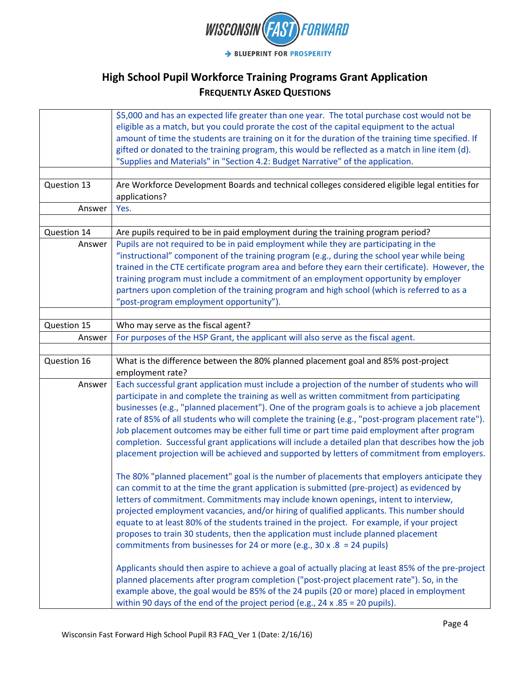

|             | \$5,000 and has an expected life greater than one year. The total purchase cost would not be<br>eligible as a match, but you could prorate the cost of the capital equipment to the actual          |
|-------------|-----------------------------------------------------------------------------------------------------------------------------------------------------------------------------------------------------|
|             | amount of time the students are training on it for the duration of the training time specified. If                                                                                                  |
|             | gifted or donated to the training program, this would be reflected as a match in line item (d).                                                                                                     |
|             | "Supplies and Materials" in "Section 4.2: Budget Narrative" of the application.                                                                                                                     |
|             |                                                                                                                                                                                                     |
| Question 13 | Are Workforce Development Boards and technical colleges considered eligible legal entities for<br>applications?                                                                                     |
| Answer      | Yes.                                                                                                                                                                                                |
|             |                                                                                                                                                                                                     |
| Question 14 | Are pupils required to be in paid employment during the training program period?                                                                                                                    |
| Answer      | Pupils are not required to be in paid employment while they are participating in the                                                                                                                |
|             | "instructional" component of the training program (e.g., during the school year while being                                                                                                         |
|             | trained in the CTE certificate program area and before they earn their certificate). However, the                                                                                                   |
|             | training program must include a commitment of an employment opportunity by employer                                                                                                                 |
|             | partners upon completion of the training program and high school (which is referred to as a                                                                                                         |
|             | "post-program employment opportunity").                                                                                                                                                             |
|             |                                                                                                                                                                                                     |
| Question 15 | Who may serve as the fiscal agent?                                                                                                                                                                  |
| Answer      | For purposes of the HSP Grant, the applicant will also serve as the fiscal agent.                                                                                                                   |
|             |                                                                                                                                                                                                     |
| Question 16 | What is the difference between the 80% planned placement goal and 85% post-project<br>employment rate?                                                                                              |
| Answer      | Each successful grant application must include a projection of the number of students who will<br>participate in and complete the training as well as written commitment from participating         |
|             | businesses (e.g., "planned placement"). One of the program goals is to achieve a job placement<br>rate of 85% of all students who will complete the training (e.g., "post-program placement rate"). |
|             | Job placement outcomes may be either full time or part time paid employment after program                                                                                                           |
|             | completion. Successful grant applications will include a detailed plan that describes how the job                                                                                                   |
|             | placement projection will be achieved and supported by letters of commitment from employers.                                                                                                        |
|             | The 80% "planned placement" goal is the number of placements that employers anticipate they                                                                                                         |
|             | can commit to at the time the grant application is submitted (pre-project) as evidenced by                                                                                                          |
|             | letters of commitment. Commitments may include known openings, intent to interview,                                                                                                                 |
|             | projected employment vacancies, and/or hiring of qualified applicants. This number should                                                                                                           |
|             | equate to at least 80% of the students trained in the project. For example, if your project                                                                                                         |
|             | proposes to train 30 students, then the application must include planned placement                                                                                                                  |
|             | commitments from businesses for 24 or more (e.g., 30 x .8 = 24 pupils)                                                                                                                              |
|             | Applicants should then aspire to achieve a goal of actually placing at least 85% of the pre-project                                                                                                 |
|             | planned placements after program completion ("post-project placement rate"). So, in the                                                                                                             |
|             | example above, the goal would be 85% of the 24 pupils (20 or more) placed in employment                                                                                                             |
|             | within 90 days of the end of the project period (e.g., $24 \times .85 = 20$ pupils).                                                                                                                |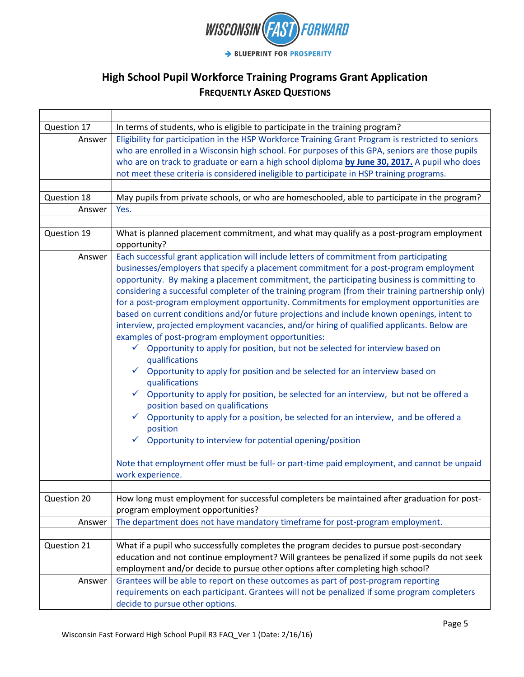

| Question 17 | In terms of students, who is eligible to participate in the training program?                                                                                                                                                                                                                                                                                                                                                                                                                                                                                                                                                                                                                                                                                                                                                                                                                                                                                                                                                                                                                                                                                                                                                                                                                                                                                                   |
|-------------|---------------------------------------------------------------------------------------------------------------------------------------------------------------------------------------------------------------------------------------------------------------------------------------------------------------------------------------------------------------------------------------------------------------------------------------------------------------------------------------------------------------------------------------------------------------------------------------------------------------------------------------------------------------------------------------------------------------------------------------------------------------------------------------------------------------------------------------------------------------------------------------------------------------------------------------------------------------------------------------------------------------------------------------------------------------------------------------------------------------------------------------------------------------------------------------------------------------------------------------------------------------------------------------------------------------------------------------------------------------------------------|
| Answer      | Eligibility for participation in the HSP Workforce Training Grant Program is restricted to seniors<br>who are enrolled in a Wisconsin high school. For purposes of this GPA, seniors are those pupils<br>who are on track to graduate or earn a high school diploma by June 30, 2017. A pupil who does<br>not meet these criteria is considered ineligible to participate in HSP training programs.                                                                                                                                                                                                                                                                                                                                                                                                                                                                                                                                                                                                                                                                                                                                                                                                                                                                                                                                                                             |
|             |                                                                                                                                                                                                                                                                                                                                                                                                                                                                                                                                                                                                                                                                                                                                                                                                                                                                                                                                                                                                                                                                                                                                                                                                                                                                                                                                                                                 |
| Question 18 | May pupils from private schools, or who are homeschooled, able to participate in the program?                                                                                                                                                                                                                                                                                                                                                                                                                                                                                                                                                                                                                                                                                                                                                                                                                                                                                                                                                                                                                                                                                                                                                                                                                                                                                   |
| Answer      | Yes.                                                                                                                                                                                                                                                                                                                                                                                                                                                                                                                                                                                                                                                                                                                                                                                                                                                                                                                                                                                                                                                                                                                                                                                                                                                                                                                                                                            |
|             |                                                                                                                                                                                                                                                                                                                                                                                                                                                                                                                                                                                                                                                                                                                                                                                                                                                                                                                                                                                                                                                                                                                                                                                                                                                                                                                                                                                 |
| Question 19 | What is planned placement commitment, and what may qualify as a post-program employment<br>opportunity?                                                                                                                                                                                                                                                                                                                                                                                                                                                                                                                                                                                                                                                                                                                                                                                                                                                                                                                                                                                                                                                                                                                                                                                                                                                                         |
| Answer      | Each successful grant application will include letters of commitment from participating<br>businesses/employers that specify a placement commitment for a post-program employment<br>opportunity. By making a placement commitment, the participating business is committing to<br>considering a successful completer of the training program (from their training partnership only)<br>for a post-program employment opportunity. Commitments for employment opportunities are<br>based on current conditions and/or future projections and include known openings, intent to<br>interview, projected employment vacancies, and/or hiring of qualified applicants. Below are<br>examples of post-program employment opportunities:<br>$\checkmark$ Opportunity to apply for position, but not be selected for interview based on<br>qualifications<br>Opportunity to apply for position and be selected for an interview based on<br>qualifications<br>$\checkmark$ Opportunity to apply for position, be selected for an interview, but not be offered a<br>position based on qualifications<br>Opportunity to apply for a position, be selected for an interview, and be offered a<br>position<br>Opportunity to interview for potential opening/position<br>Note that employment offer must be full- or part-time paid employment, and cannot be unpaid<br>work experience. |
| Question 20 | How long must employment for successful completers be maintained after graduation for post-<br>program employment opportunities?                                                                                                                                                                                                                                                                                                                                                                                                                                                                                                                                                                                                                                                                                                                                                                                                                                                                                                                                                                                                                                                                                                                                                                                                                                                |
| Answer      | The department does not have mandatory timeframe for post-program employment.                                                                                                                                                                                                                                                                                                                                                                                                                                                                                                                                                                                                                                                                                                                                                                                                                                                                                                                                                                                                                                                                                                                                                                                                                                                                                                   |
|             |                                                                                                                                                                                                                                                                                                                                                                                                                                                                                                                                                                                                                                                                                                                                                                                                                                                                                                                                                                                                                                                                                                                                                                                                                                                                                                                                                                                 |
| Question 21 | What if a pupil who successfully completes the program decides to pursue post-secondary<br>education and not continue employment? Will grantees be penalized if some pupils do not seek<br>employment and/or decide to pursue other options after completing high school?                                                                                                                                                                                                                                                                                                                                                                                                                                                                                                                                                                                                                                                                                                                                                                                                                                                                                                                                                                                                                                                                                                       |
| Answer      | Grantees will be able to report on these outcomes as part of post-program reporting<br>requirements on each participant. Grantees will not be penalized if some program completers<br>decide to pursue other options.                                                                                                                                                                                                                                                                                                                                                                                                                                                                                                                                                                                                                                                                                                                                                                                                                                                                                                                                                                                                                                                                                                                                                           |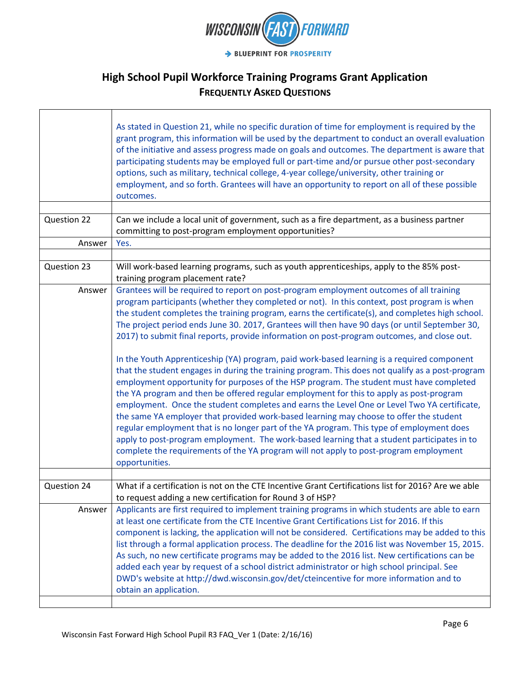

|             | As stated in Question 21, while no specific duration of time for employment is required by the<br>grant program, this information will be used by the department to conduct an overall evaluation<br>of the initiative and assess progress made on goals and outcomes. The department is aware that<br>participating students may be employed full or part-time and/or pursue other post-secondary<br>options, such as military, technical college, 4-year college/university, other training or<br>employment, and so forth. Grantees will have an opportunity to report on all of these possible<br>outcomes.                                                                                                                                                                                                                                                                                                                                                                                                                                                                                                                                                                                                                                                                                                                                                                     |
|-------------|-------------------------------------------------------------------------------------------------------------------------------------------------------------------------------------------------------------------------------------------------------------------------------------------------------------------------------------------------------------------------------------------------------------------------------------------------------------------------------------------------------------------------------------------------------------------------------------------------------------------------------------------------------------------------------------------------------------------------------------------------------------------------------------------------------------------------------------------------------------------------------------------------------------------------------------------------------------------------------------------------------------------------------------------------------------------------------------------------------------------------------------------------------------------------------------------------------------------------------------------------------------------------------------------------------------------------------------------------------------------------------------|
|             |                                                                                                                                                                                                                                                                                                                                                                                                                                                                                                                                                                                                                                                                                                                                                                                                                                                                                                                                                                                                                                                                                                                                                                                                                                                                                                                                                                                     |
| Question 22 | Can we include a local unit of government, such as a fire department, as a business partner<br>committing to post-program employment opportunities?                                                                                                                                                                                                                                                                                                                                                                                                                                                                                                                                                                                                                                                                                                                                                                                                                                                                                                                                                                                                                                                                                                                                                                                                                                 |
| Answer      | Yes.                                                                                                                                                                                                                                                                                                                                                                                                                                                                                                                                                                                                                                                                                                                                                                                                                                                                                                                                                                                                                                                                                                                                                                                                                                                                                                                                                                                |
|             |                                                                                                                                                                                                                                                                                                                                                                                                                                                                                                                                                                                                                                                                                                                                                                                                                                                                                                                                                                                                                                                                                                                                                                                                                                                                                                                                                                                     |
| Question 23 | Will work-based learning programs, such as youth apprenticeships, apply to the 85% post-<br>training program placement rate?                                                                                                                                                                                                                                                                                                                                                                                                                                                                                                                                                                                                                                                                                                                                                                                                                                                                                                                                                                                                                                                                                                                                                                                                                                                        |
| Answer      | Grantees will be required to report on post-program employment outcomes of all training<br>program participants (whether they completed or not). In this context, post program is when<br>the student completes the training program, earns the certificate(s), and completes high school.<br>The project period ends June 30. 2017, Grantees will then have 90 days (or until September 30,<br>2017) to submit final reports, provide information on post-program outcomes, and close out.<br>In the Youth Apprenticeship (YA) program, paid work-based learning is a required component<br>that the student engages in during the training program. This does not qualify as a post-program<br>employment opportunity for purposes of the HSP program. The student must have completed<br>the YA program and then be offered regular employment for this to apply as post-program<br>employment. Once the student completes and earns the Level One or Level Two YA certificate,<br>the same YA employer that provided work-based learning may choose to offer the student<br>regular employment that is no longer part of the YA program. This type of employment does<br>apply to post-program employment. The work-based learning that a student participates in to<br>complete the requirements of the YA program will not apply to post-program employment<br>opportunities. |
|             |                                                                                                                                                                                                                                                                                                                                                                                                                                                                                                                                                                                                                                                                                                                                                                                                                                                                                                                                                                                                                                                                                                                                                                                                                                                                                                                                                                                     |
| Question 24 | What if a certification is not on the CTE Incentive Grant Certifications list for 2016? Are we able<br>to request adding a new certification for Round 3 of HSP?                                                                                                                                                                                                                                                                                                                                                                                                                                                                                                                                                                                                                                                                                                                                                                                                                                                                                                                                                                                                                                                                                                                                                                                                                    |
| Answer      | Applicants are first required to implement training programs in which students are able to earn<br>at least one certificate from the CTE Incentive Grant Certifications List for 2016. If this<br>component is lacking, the application will not be considered. Certifications may be added to this<br>list through a formal application process. The deadline for the 2016 list was November 15, 2015.<br>As such, no new certificate programs may be added to the 2016 list. New certifications can be<br>added each year by request of a school district administrator or high school principal. See<br>DWD's website at http://dwd.wisconsin.gov/det/cteincentive for more information and to<br>obtain an application.                                                                                                                                                                                                                                                                                                                                                                                                                                                                                                                                                                                                                                                         |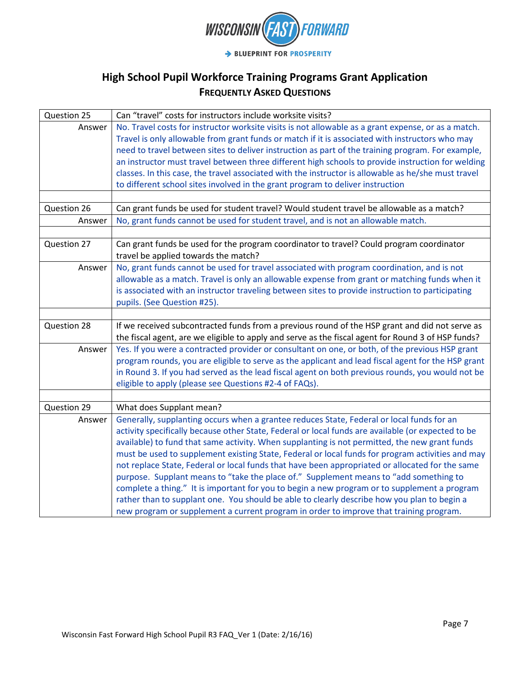

| Question 25 | Can "travel" costs for instructors include worksite visits?                                         |
|-------------|-----------------------------------------------------------------------------------------------------|
| Answer      | No. Travel costs for instructor worksite visits is not allowable as a grant expense, or as a match. |
|             | Travel is only allowable from grant funds or match if it is associated with instructors who may     |
|             | need to travel between sites to deliver instruction as part of the training program. For example,   |
|             | an instructor must travel between three different high schools to provide instruction for welding   |
|             | classes. In this case, the travel associated with the instructor is allowable as he/she must travel |
|             | to different school sites involved in the grant program to deliver instruction                      |
|             |                                                                                                     |
| Question 26 | Can grant funds be used for student travel? Would student travel be allowable as a match?           |
| Answer      | No, grant funds cannot be used for student travel, and is not an allowable match.                   |
|             |                                                                                                     |
| Question 27 | Can grant funds be used for the program coordinator to travel? Could program coordinator            |
|             | travel be applied towards the match?                                                                |
| Answer      | No, grant funds cannot be used for travel associated with program coordination, and is not          |
|             | allowable as a match. Travel is only an allowable expense from grant or matching funds when it      |
|             | is associated with an instructor traveling between sites to provide instruction to participating    |
|             | pupils. (See Question #25).                                                                         |
| Question 28 | If we received subcontracted funds from a previous round of the HSP grant and did not serve as      |
|             | the fiscal agent, are we eligible to apply and serve as the fiscal agent for Round 3 of HSP funds?  |
| Answer      | Yes. If you were a contracted provider or consultant on one, or both, of the previous HSP grant     |
|             | program rounds, you are eligible to serve as the applicant and lead fiscal agent for the HSP grant  |
|             | in Round 3. If you had served as the lead fiscal agent on both previous rounds, you would not be    |
|             | eligible to apply (please see Questions #2-4 of FAQs).                                              |
|             |                                                                                                     |
| Question 29 | What does Supplant mean?                                                                            |
| Answer      | Generally, supplanting occurs when a grantee reduces State, Federal or local funds for an           |
|             | activity specifically because other State, Federal or local funds are available (or expected to be  |
|             | available) to fund that same activity. When supplanting is not permitted, the new grant funds       |
|             | must be used to supplement existing State, Federal or local funds for program activities and may    |
|             | not replace State, Federal or local funds that have been appropriated or allocated for the same     |
|             | purpose. Supplant means to "take the place of." Supplement means to "add something to               |
|             | complete a thing." It is important for you to begin a new program or to supplement a program        |
|             | rather than to supplant one. You should be able to clearly describe how you plan to begin a         |
|             | new program or supplement a current program in order to improve that training program.              |